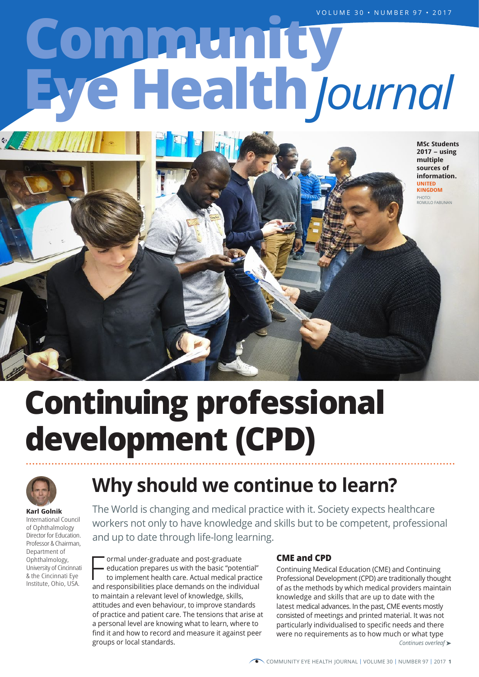# **Eye Health Community** *Journal*



 **Continuing professional development (CPD)**



**Karl Golnik** International Council of Ophthalmology Director for Education. Professor & Chairman, Department of Ophthalmology, University of Cincinnati & the Cincinnati Eye Institute, Ohio, USA.

## **Why should we continue to learn?**

The World is changing and medical practice with it. Society expects healthcare workers not only to have knowledge and skills but to be competent, professional and up to date through life-long learning.

ormal under-graduate and post-graduate

education prepares us with the basic "potential"

France and post-graduate<br>
education prepares us with the basic "potential"<br>
to implement health care. Actual medical practice<br>
and responsibilities place demands on the individual to implement health care. Actual medical practice to maintain a relevant level of knowledge, skills, attitudes and even behaviour, to improve standards of practice and patient care. The tensions that arise at a personal level are knowing what to learn, where to find it and how to record and measure it against peer groups or local standards.

#### **CME and CPD**

Continuing Medical Education (CME) and Continuing Professional Development (CPD) are traditionally thought of as the methods by which medical providers maintain knowledge and skills that are up to date with the latest medical advances. In the past, CME events mostly consisted of meetings and printed material. It was not particularly individualised to specific needs and there were no requirements as to how much or what type *Continues overleaf* ➤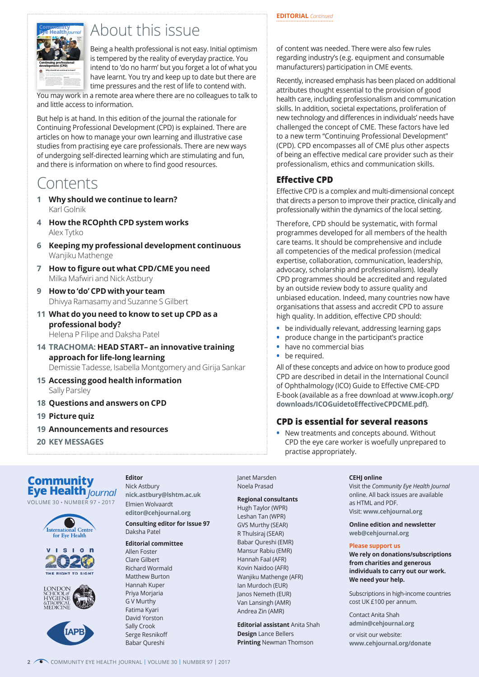#### **EDITORIAL** *Continued*



## About this issue

Being a health professional is not easy. Initial optimism is tempered by the reality of everyday practice. You intend to 'do no harm' but you forget a lot of what you have learnt. You try and keep up to date but there are time pressures and the rest of life to contend with.

You may work in a remote area where there are no colleagues to talk to and little access to information.

But help is at hand. In this edition of the journal the rationale for Continuing Professional Development (CPD) is explained. There are articles on how to manage your own learning and illustrative case studies from practising eye care professionals. There are new ways of undergoing self-directed learning which are stimulating and fun, and there is information on where to find good resources.

## Contents

- **1 Why should we continue to learn?** Karl Golnik
- **4 How the RCOphth CPD system works** Alex Tytko
- **6 Keeping my professional development continuous** Wanjiku Mathenge
- **7 How to figure out what CPD/CME you need** Milka Mafwiri and Nick Astbury
- **9 How to 'do' CPD with your team** Dhivya Ramasamy and Suzanne S Gilbert
- **11 What do you need to know to set up CPD as a professional body?** Helena P Filipe and Daksha Patel
- **14 TRACHOMA: HEAD START– an innovative training approach for life-long learning** Demissie Tadesse, Isabella Montgomery and Girija Sankar
- **15 Accessing good health information** Sally Parsley
- **18 Questions and answers on CPD**
- **19 Picture quiz**
- **19 Announcements and resources**
- **20 KEY MESSAGES**

### **Eye Health** *Journal***Community**

VOLUME 30 • NUMBER 97 • 2017









**Editor** Nick Astbury **[nick.astbury@lshtm.ac.uk](mailto:nick.astbury%40lshtm.ac.uk?subject=)** Elmien Wolvaardt **[editor@cehjournal.org](mailto:editor%40cehjournal.org?subject=) Consulting editor for Issue 97** Daksha Patel

#### **Editorial committee**

Allen Foster Clare Gilbert Richard Wormald Matthew Burton Hannah Kuper Priya Morjaria G V Murthy Fatima Kyari David Yorston Sally Crook Serge Resnikoff Babar Qureshi

Janet Marsden Noela Prasad

**Regional consultants**

#### Hugh Taylor (WPR)

Leshan Tan (WPR) GVS Murthy (SEAR) R Thulsiraj (SEAR) Babar Qureshi (EMR) Mansur Rabiu (EMR) Hannah Faal (AFR) Kovin Naidoo (AFR) Wanjiku Mathenge (AFR) Ian Murdoch (EUR) Janos Nemeth (EUR) Van Lansingh (AMR) Andrea Zin (AMR)

**Editorial assistant** Anita Shah **Design** Lance Bellers **Printing** Newman Thomson

of content was needed. There were also few rules regarding industry's (e.g. equipment and consumable manufacturers) participation in CME events.

Recently, increased emphasis has been placed on additional attributes thought essential to the provision of good health care, including professionalism and communication skills. In addition, societal expectations, proliferation of new technology and differences in individuals' needs have challenged the concept of CME. These factors have led to a new term "Continuing Professional Development" (CPD). CPD encompasses all of CME plus other aspects of being an effective medical care provider such as their professionalism, ethics and communication skills.

#### **Effective CPD**

Effective CPD is a complex and multi-dimensional concept that directs a person to improve their practice, clinically and professionally within the dynamics of the local setting.

Therefore, CPD should be systematic, with formal programmes developed for all members of the health care teams. It should be comprehensive and include all competencies of the medical profession (medical expertise, collaboration, communication, leadership, advocacy, scholarship and professionalism). Ideally CPD programmes should be accredited and regulated by an outside review body to assure quality and unbiased education. Indeed, many countries now have organisations that assess and accredit CPD to assure high quality. In addition, effective CPD should:

- **•** be individually relevant, addressing learning gaps
- **•** produce change in the participant's practice
- **•** have no commercial bias
- **•** be required.

All of these concepts and advice on how to produce good CPD are described in detail in the International Council of Ophthalmology (ICO) Guide to Effective CME-CPD E-book (available as a free download at **www.icoph.org/ downloads/ICOGuidetoEffectiveCPDCME.pdf**).

#### **CPD is essential for several reasons**

**•** New treatments and concepts abound. Without CPD the eye care worker is woefully unprepared to practise appropriately.

#### **CEHJ online**

Visit the *Community Eye Health Journal*  online. All back issues are available as HTML and PDF. Visit: **[www.cehjournal.org](http://www.cehjournal.org)**

**Online edition and newsletter [web@cehjournal.org](mailto:web%40cehjournal.org?subject=)**

#### **Please support us**

**We rely on donations/subscriptions from charities and generous individuals to carry out our work. We need your help.** 

Subscriptions in high-income countries cost UK £100 per annum.

Contact Anita Shah **[admin@cehjournal.org](mailto:admin%40cehjournal.org?subject=)**

or visit our website: **[www.cehjournal.org/donate](http://)**